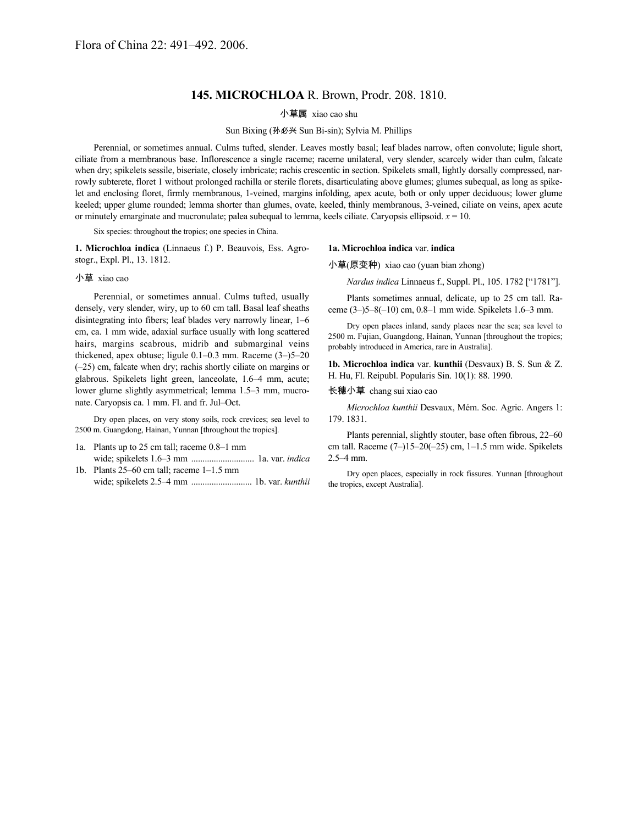## **145. MICROCHLOA** R. Brown, Prodr. 208. 1810.

小草属 xiao cao shu

Sun Bixing (孙必兴 Sun Bi-sin); Sylvia M. Phillips

Perennial, or sometimes annual. Culms tufted, slender. Leaves mostly basal; leaf blades narrow, often convolute; ligule short, ciliate from a membranous base. Inflorescence a single raceme; raceme unilateral, very slender, scarcely wider than culm, falcate when dry; spikelets sessile, biseriate, closely imbricate; rachis crescentic in section. Spikelets small, lightly dorsally compressed, narrowly subterete, floret 1 without prolonged rachilla or sterile florets, disarticulating above glumes; glumes subequal, as long as spikelet and enclosing floret, firmly membranous, 1-veined, margins infolding, apex acute, both or only upper deciduous; lower glume keeled; upper glume rounded; lemma shorter than glumes, ovate, keeled, thinly membranous, 3-veined, ciliate on veins, apex acute or minutely emarginate and mucronulate; palea subequal to lemma, keels ciliate. Caryopsis ellipsoid. *x* = 10.

Six species: throughout the tropics; one species in China.

**1. Microchloa indica** (Linnaeus f.) P. Beauvois, Ess. Agrostogr., Expl. Pl., 13. 1812.

## 小草 xiao cao

Perennial, or sometimes annual. Culms tufted, usually densely, very slender, wiry, up to 60 cm tall. Basal leaf sheaths disintegrating into fibers; leaf blades very narrowly linear, 1–6 cm, ca. 1 mm wide, adaxial surface usually with long scattered hairs, margins scabrous, midrib and submarginal veins thickened, apex obtuse; ligule 0.1–0.3 mm. Raceme (3–)5–20 (–25) cm, falcate when dry; rachis shortly ciliate on margins or glabrous. Spikelets light green, lanceolate, 1.6–4 mm, acute; lower glume slightly asymmetrical; lemma 1.5–3 mm, mucronate. Caryopsis ca. 1 mm. Fl. and fr. Jul–Oct.

Dry open places, on very stony soils, rock crevices; sea level to 2500 m. Guangdong, Hainan, Yunnan [throughout the tropics].

- 1a. Plants up to 25 cm tall; raceme 0.8–1 mm wide; spikelets 1.6–3 mm ............................ 1a. var. *indica*
- 1b. Plants 25–60 cm tall; raceme 1–1.5 mm wide; spikelets 2.5–4 mm ........................... 1b. var. *kunthii*

## **1a. Microchloa indica** var. **indica**

小草(原变种) xiao cao (yuan bian zhong)

*Nardus indica* Linnaeus f., Suppl. Pl., 105. 1782 ["1781"].

Plants sometimes annual, delicate, up to 25 cm tall. Raceme (3–)5–8(–10) cm, 0.8–1 mm wide. Spikelets 1.6–3 mm.

Dry open places inland, sandy places near the sea; sea level to 2500 m. Fujian, Guangdong, Hainan, Yunnan [throughout the tropics; probably introduced in America, rare in Australia].

**1b. Microchloa indica** var. **kunthii** (Desvaux) B. S. Sun & Z. H. Hu, Fl. Reipubl. Popularis Sin. 10(1): 88. 1990.

长穗小草 chang sui xiao cao

*Microchloa kunthii* Desvaux, Mém. Soc. Agric. Angers 1: 179. 1831.

Plants perennial, slightly stouter, base often fibrous, 22–60 cm tall. Raceme (7–)15–20(–25) cm, 1–1.5 mm wide. Spikelets 2.5–4 mm.

Dry open places, especially in rock fissures. Yunnan [throughout the tropics, except Australia].